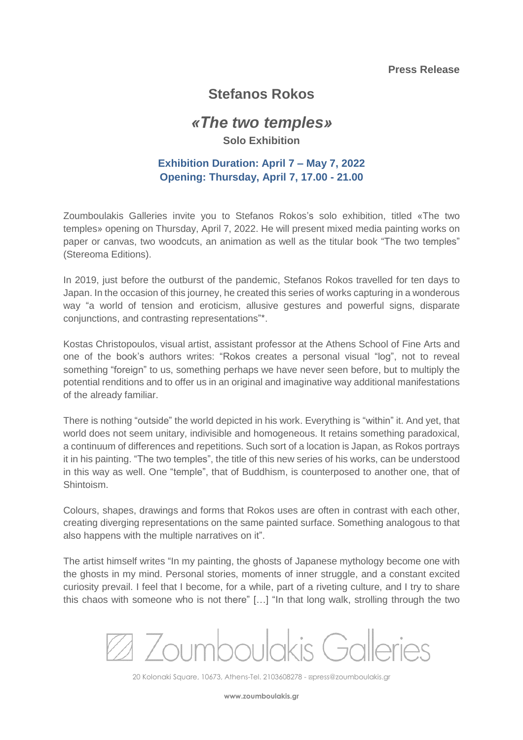### **Press Release**

# **Stefanos Rokos**

# *«The two temples»*

### **Solo Exhibition**

## **Exhibition Duration: April 7 – May 7, 2022 Opening: Thursday, April 7, 17.00 - 21.00**

Zoumboulakis Galleries invite you to Stefanos Rokos's solo exhibition, titled «The two temples» opening on Thursday, April 7, 2022. He will present mixed media painting works on paper or canvas, two woodcuts, an animation as well as the titular book "The two temples" (Stereoma Editions).

In 2019, just before the outburst of the pandemic, Stefanos Rokos travelled for ten days to Japan. In the occasion of this journey, he created this series of works capturing in a wonderous way "a world of tension and eroticism, allusive gestures and powerful signs, disparate conjunctions, and contrasting representations"\*.

Kostas Christopoulos, visual artist, assistant professor at the Athens School of Fine Arts and one of the book's authors writes: "Rokos creates a personal visual "log", not to reveal something "foreign" to us, something perhaps we have never seen before, but to multiply the potential renditions and to offer us in an original and imaginative way additional manifestations of the already familiar.

There is nothing "outside" the world depicted in his work. Everything is "within" it. And yet, that world does not seem unitary, indivisible and homogeneous. It retains something paradoxical, a continuum of differences and repetitions. Such sort of a location is Japan, as Rokos portrays it in his painting. "The two temples", the title of this new series of his works, can be understood in this way as well. One "temple", that of Buddhism, is counterposed to another one, that of Shintoism.

Colours, shapes, drawings and forms that Rokos uses are often in contrast with each other, creating diverging representations on the same painted surface. Something analogous to that also happens with the multiple narratives on it".

The artist himself writes "In my painting, the ghosts of Japanese mythology become one with the ghosts in my mind. Personal stories, moments of inner struggle, and a constant excited curiosity prevail. I feel that I become, for a while, part of a riveting culture, and I try to share this chaos with someone who is not there" […] "In that long walk, strolling through the two

2 Zoumboulakis Galleries

20 Kolonaki Square, 10673, Athens-Τel. 2103608278 - ⍓press@zoumboulakis.gr

**www.zoumboulakis.gr**